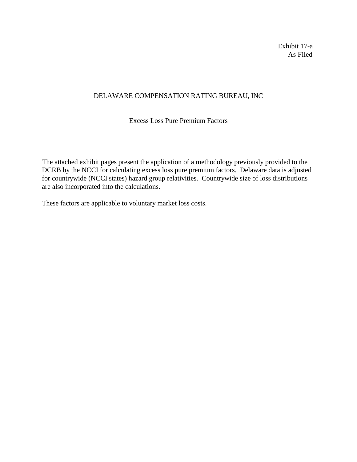Exhibit 17-a As Filed

# DELAWARE COMPENSATION RATING BUREAU, INC

# Excess Loss Pure Premium Factors

The attached exhibit pages present the application of a methodology previously provided to the DCRB by the NCCI for calculating excess loss pure premium factors. Delaware data is adjusted for countrywide (NCCI states) hazard group relativities. Countrywide size of loss distributions are also incorporated into the calculations.

These factors are applicable to voluntary market loss costs.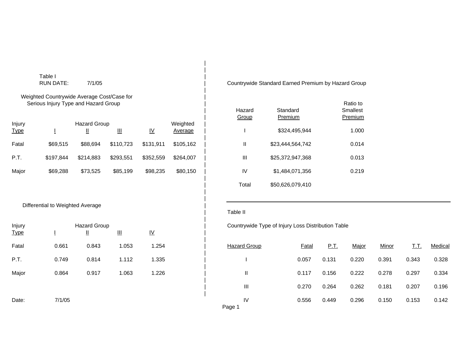|                       | Table I<br><b>RUN DATE:</b>                                                        | 7/1/05                   |                            |                              |           |          |                                    | Countrywide Standard Earned Premium by Hazard Grou |             |                                 |
|-----------------------|------------------------------------------------------------------------------------|--------------------------|----------------------------|------------------------------|-----------|----------|------------------------------------|----------------------------------------------------|-------------|---------------------------------|
|                       | Weighted Countrywide Average Cost/Case for<br>Serious Injury Type and Hazard Group |                          |                            |                              |           |          | Hazard<br>Group                    | Standard<br>Premium                                |             | Ratio to<br>Smallest<br>Premium |
| Injury                |                                                                                    | <b>Hazard Group</b>      |                            |                              | Weighted  |          |                                    |                                                    |             |                                 |
| <b>Type</b>           | Ī                                                                                  | Щ                        | $\mathbf{\underline{III}}$ | $\underline{\underline{IV}}$ | Average   |          |                                    | \$324,495,944                                      |             | 1.000                           |
| Fatal                 | \$69,515                                                                           | \$88,694                 | \$110,723                  | \$131,911                    | \$105,162 |          | Ш                                  | \$23,444,564,742                                   |             | 0.014                           |
| P.T.                  | \$197,844                                                                          | \$214,883                | \$293,551                  | \$352,559                    | \$264,007 |          | $\ensuremath{\mathsf{III}}\xspace$ | \$25,372,947,368                                   |             | 0.013                           |
| Major                 | \$69,288                                                                           | \$73,525                 | \$85,199                   | \$98,235                     | \$80,150  |          | IV                                 | \$1,484,071,356                                    |             | 0.219                           |
|                       |                                                                                    |                          |                            |                              |           |          | Total                              | \$50,626,079,410                                   |             |                                 |
|                       | Differential to Weighted Average                                                   |                          |                            |                              |           | Table II |                                    |                                                    |             |                                 |
| Injury<br><b>Type</b> | T                                                                                  | <b>Hazard Group</b><br>Щ | $\underline{\textbf{III}}$ | $\underline{\underline{W}}$  |           |          |                                    | Countrywide Type of Injury Loss Distribution Table |             |                                 |
| Fatal                 | 0.661                                                                              | 0.843                    | 1.053                      | 1.254                        |           |          | <b>Hazard Group</b>                | Fatal                                              | <u>P.T.</u> | Majo                            |
| P.T.                  | 0.749                                                                              | 0.814                    | 1.112                      | 1.335                        |           |          |                                    | 0.057                                              | 0.131       | 0.220                           |
| Major                 | 0.864                                                                              | 0.917                    | 1.063                      | 1.226                        |           |          | $\mathbf{II}$                      | 0.117                                              | 0.156       | 0.222                           |
|                       |                                                                                    |                          |                            |                              |           |          | $\ensuremath{\mathsf{III}}\xspace$ | 0.270                                              | 0.264       | 0.262                           |
| Date:                 | 7/1/05                                                                             |                          |                            |                              |           |          | IV                                 | 0.556                                              | 0.449       | 0.296                           |

| Hazard<br>Group | Standard<br>Premium | Ratio to<br><b>Smallest</b><br>Premium |
|-----------------|---------------------|----------------------------------------|
|                 | \$324,495,944       | 1.000                                  |
| Ш               | \$23,444,564,742    | 0.014                                  |
| Ш               | \$25,372,947,368    | 0.013                                  |
| IV              | \$1,484,071,356     | 0.219                                  |
| Total           | \$50,626,079,410    |                                        |

 $\blacksquare$ |

| Fatal | 0.661  | 0.843 | 1.053 | 1.254 | <b>Hazard Group</b> | <b>Fatal</b> | <u>P.T.</u> | Major | Minor | <u>T.T.</u> | Medical |
|-------|--------|-------|-------|-------|---------------------|--------------|-------------|-------|-------|-------------|---------|
| P.T.  | 0.749  | 0.814 | 1.112 | 1.335 |                     | 0.057        | 0.131       | 0.220 | 0.391 | 0.343       | 0.328   |
| Major | 0.864  | 0.917 | 1.063 | 1.226 | Ш                   | 0.117        | 0.156       | 0.222 | 0.278 | 0.297       | 0.334   |
|       |        |       |       |       | III                 | 0.270        | 0.264       | 0.262 | 0.181 | 0.207       | 0.196   |
| Date: | 7/1/05 |       |       |       | IV                  | 0.556        | 0.449       | 0.296 | 0.150 | 0.153       | 0.142   |
|       |        |       |       |       | Page 1              |              |             |       |       |             |         |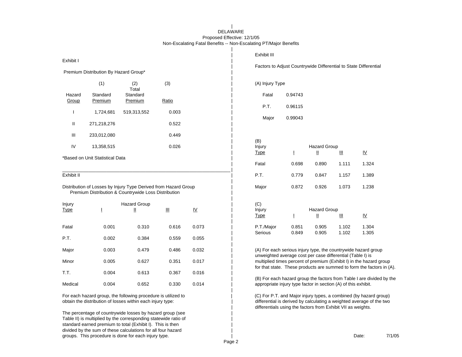# DELAWAREProposed Effective: 12/1/05 Non-Escalating Fatal Benefits -- Non-Escalating PT/Major Benefits

|                       |                                       |                                                                                                                         |       |                           | Exhibit III                  |                                                                                                                           |                          |                |                                    |
|-----------------------|---------------------------------------|-------------------------------------------------------------------------------------------------------------------------|-------|---------------------------|------------------------------|---------------------------------------------------------------------------------------------------------------------------|--------------------------|----------------|------------------------------------|
| Exhibit I             |                                       |                                                                                                                         |       |                           |                              | Factors to Adjust Countrywide Differential to State Differer                                                              |                          |                |                                    |
|                       | Premium Distribution By Hazard Group* |                                                                                                                         |       |                           |                              |                                                                                                                           |                          |                |                                    |
|                       | (1)                                   | (2)<br>Total                                                                                                            | (3)   |                           | (A) Injury Type              |                                                                                                                           |                          |                |                                    |
| Hazard<br>Group       | Standard<br>Premium                   | Standard<br>Premium                                                                                                     | Ratio |                           | Fatal                        | 0.94743                                                                                                                   |                          |                |                                    |
| $\mathbf{I}$          | 1,724,681                             | 519,313,552                                                                                                             | 0.003 |                           | P.T.<br>Major                | 0.96115<br>0.99043                                                                                                        |                          |                |                                    |
| Ш                     | 271,218,276                           |                                                                                                                         | 0.522 |                           |                              |                                                                                                                           |                          |                |                                    |
| $\mathbf{III}$        | 233,012,080                           |                                                                                                                         | 0.449 |                           | (B)                          |                                                                                                                           |                          |                |                                    |
| IV                    | 13,358,515                            |                                                                                                                         | 0.026 |                           | Injury<br><b>Type</b>        | T                                                                                                                         | <b>Hazard Group</b><br>Щ | Щ              | $\underline{\mathsf{I}}\mathsf{V}$ |
|                       | *Based on Unit Statistical Data       |                                                                                                                         |       |                           | Fatal                        | 0.698                                                                                                                     | 0.890                    | 1.111          | 1.324                              |
| Exhibit II            |                                       |                                                                                                                         |       |                           | P.T.                         | 0.779                                                                                                                     | 0.847                    | 1.157          | 1.389                              |
|                       |                                       | Distribution of Losses by Injury Type Derived from Hazard Group<br>Premium Distribution & Countrywide Loss Distribution |       |                           | Major                        | 0.872                                                                                                                     | 0.926                    | 1.073          | 1.238                              |
| Injury<br><b>Type</b> | 1                                     | <b>Hazard Group</b><br>Ш                                                                                                | Ш     | $\underline{\mathsf{IV}}$ | (C)<br>Injury<br><b>Type</b> | T                                                                                                                         | <b>Hazard Group</b><br>Ш | Щ              | $\underline{\mathsf{IV}}$          |
| Fatal                 | 0.001                                 | 0.310                                                                                                                   | 0.616 | 0.073                     | P.T./Major<br>Serious        | 0.851<br>0.849                                                                                                            | 0.905<br>0.905           | 1.102<br>1.102 | 1.304<br>1.305                     |
| P.T.                  | 0.002                                 | 0.384                                                                                                                   | 0.559 | 0.055                     |                              |                                                                                                                           |                          |                |                                    |
| Major                 | 0.003                                 | 0.479                                                                                                                   | 0.486 | 0.032                     |                              | (A) For each serious injury type, the countrywide hazard g<br>unweighted average cost per case differential (Table I) is  |                          |                |                                    |
| Minor                 | 0.005                                 | 0.627                                                                                                                   | 0.351 | 0.017                     |                              | multiplied times percent of premium (Exhibit I) in the hazar<br>for that state. These products are summed to form the fac |                          |                |                                    |
| T.T.                  | 0.004                                 | 0.613                                                                                                                   | 0.367 | 0.016                     |                              | (B) For each hazard group the factors from Table I are div                                                                |                          |                |                                    |
| $\sim$ $\sim$ $\sim$  | 0.001                                 | $\sim$ $\sim$ $\sim$                                                                                                    | 0.000 | $\sim$ $\sim$ $\sim$      |                              |                                                                                                                           |                          |                |                                    |

The percentage of countrywide losses by hazard group (see | Table II) is multiplied by the corresponding statewide ratio of | standard earned premium to total (Exhibit I). This is then | divided by the sum of these calculations for all four hazard | groups. This procedure is done for each injury type.  $\qquad$  | Date: 7/1/05

| Factors to Adjust Countrywide Differential to State Differential |                |                          |                |                |  |  |  |
|------------------------------------------------------------------|----------------|--------------------------|----------------|----------------|--|--|--|
| (A) Injury Type                                                  |                |                          |                |                |  |  |  |
| Fatal                                                            | 0.94743        |                          |                |                |  |  |  |
| P.T.                                                             | 0.96115        |                          |                |                |  |  |  |
| Major                                                            | 0.99043        |                          |                |                |  |  |  |
|                                                                  |                |                          |                |                |  |  |  |
| (B)<br>Injury<br><b>Type</b>                                     | Ī              | <b>Hazard Group</b><br>Ш | Ш              | IV             |  |  |  |
|                                                                  |                |                          |                |                |  |  |  |
| Fatal                                                            | 0.698          | 0.890                    | 1.111          | 1.324          |  |  |  |
| P.T.                                                             | 0.779          | 0.847                    | 1.157          | 1.389          |  |  |  |
| Major                                                            | 0.872          | 0.926                    | 1.073          | 1.238          |  |  |  |
| (C)<br>Injury<br><b>Type</b>                                     | Ī              | <b>Hazard Group</b><br>Щ | Ш              | <u>IV</u>      |  |  |  |
| P.T./Major<br>Serious                                            | 0.851<br>0.849 | 0.905<br>0.905           | 1.102<br>1.102 | 1.304<br>1.305 |  |  |  |

us injury type, the countrywide hazard group ge cost per case differential (Table I) is ercent of premium (Exhibit I) in the hazard group se products are summed to form the factors in (A).

rd group the factors from Table I are divided by the Medical 0.004 0.652 0.330 0.014 | appropriate injury type factor in section (A) of this exhibit.

For each hazard group, the following procedure is utilized to  $|$  (C) For P.T. and Major injury types, a combined (by hazard group) obtain the distribution of losses within each injury type: | differential is derived by calculating a weighted average of the two differentials using the factors from Exhibit VII as weights.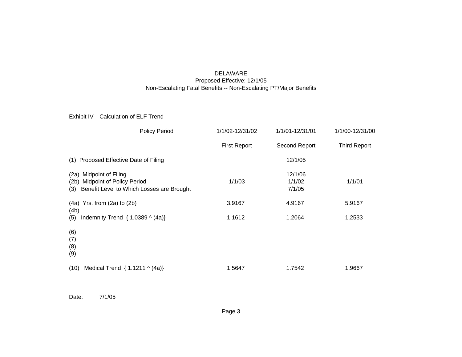# DELAWARE Proposed Effective: 12/1/05 Non-Escalating Fatal Benefits -- Non-Escalating PT/Major Benefits

Exhibit IV Calculation of ELF Trend

| <b>Policy Period</b>                                                                                                    | 1/1/02-12/31/02     | 1/1/01-12/31/01             | 1/1/00-12/31/00     |
|-------------------------------------------------------------------------------------------------------------------------|---------------------|-----------------------------|---------------------|
|                                                                                                                         | <b>First Report</b> | Second Report               | <b>Third Report</b> |
| (1) Proposed Effective Date of Filing                                                                                   |                     | 12/1/05                     |                     |
| (2a) Midpoint of Filing<br><b>Midpoint of Policy Period</b><br>(2b)<br>Benefit Level to Which Losses are Brought<br>(3) | 1/1/03              | 12/1/06<br>1/1/02<br>7/1/05 | 1/1/01              |
| $(4a)$ Yrs. from $(2a)$ to $(2b)$                                                                                       | 3.9167              | 4.9167                      | 5.9167              |
| (4b)<br>Indemnity Trend $\{1.0389 \land (4a)\}\$<br>(5)                                                                 | 1.1612              | 1.2064                      | 1.2533              |
| (6)<br>(7)<br>(8)<br>(9)                                                                                                |                     |                             |                     |
| Medical Trend $\{1.1211 \land (4a)\}\$<br>(10)                                                                          | 1.5647              | 1.7542                      | 1.9667              |

Date: 7/1/05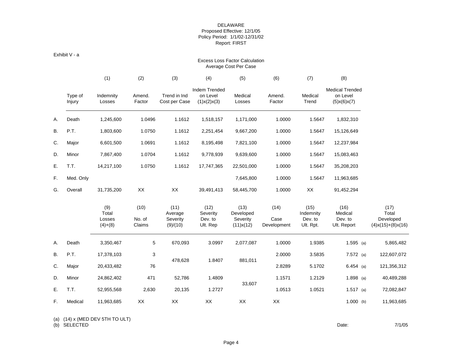## DELAWARE Proposed Effective: 12/1/05 Policy Period: 1/1/02-12/31/02 Report: FIRST

# Exhibit V - a

# Excess Loss Factor CalculationAverage Cost Per Case

|           |                   | (1)                                 | (2)                      | (3)                                     | (4)                                      | (5)                                        | (6)                         | (7)                                       | (8)                                                         |                                                               |
|-----------|-------------------|-------------------------------------|--------------------------|-----------------------------------------|------------------------------------------|--------------------------------------------|-----------------------------|-------------------------------------------|-------------------------------------------------------------|---------------------------------------------------------------|
|           | Type of<br>Injury | Indemnity<br>Losses                 | Amend.<br>Factor         | Trend in Ind<br>Cost per Case           | Indem Trended<br>on Level<br>(1)x(2)x(3) | Medical<br>Losses                          | Amend.<br>Factor            | Medical<br>Trend                          | <b>Medical Trended</b><br>on Level<br>$(5)$ x $(6)$ x $(7)$ |                                                               |
| Α.        | Death             | 1,245,600                           | 1.0496                   | 1.1612                                  | 1,518,157                                | 1,171,000                                  | 1.0000                      | 1.5647                                    | 1,832,310                                                   |                                                               |
| В.        | P.T.              | 1,803,600                           | 1.0750                   | 1.1612                                  | 2,251,454                                | 9,667,200                                  | 1.0000                      | 1.5647                                    | 15,126,649                                                  |                                                               |
| C.        | Major             | 6,601,500                           | 1.0691                   | 1.1612                                  | 8,195,498                                | 7,821,100                                  | 1.0000                      | 1.5647                                    | 12,237,984                                                  |                                                               |
| D.        | Minor             | 7,867,400                           | 1.0704                   | 1.1612                                  | 9,778,939                                | 9,639,600                                  | 1.0000                      | 1.5647                                    | 15,083,463                                                  |                                                               |
| E.        | T.T.              | 14,217,100                          | 1.0750                   | 1.1612                                  | 17,747,365                               | 22,501,000                                 | 1.0000                      | 1.5647                                    | 35,208,203                                                  |                                                               |
| F.        | Med. Only         |                                     |                          |                                         |                                          | 7,645,800                                  | 1.0000                      | 1.5647                                    | 11,963,685                                                  |                                                               |
| G.        | Overall           | 31,735,200                          | XX                       | XX                                      | 39,491,413                               | 58,445,700                                 | 1.0000                      | XX                                        | 91,452,294                                                  |                                                               |
|           |                   | (9)<br>Total<br>Losses<br>$(4)+(8)$ | (10)<br>No. of<br>Claims | (11)<br>Average<br>Severity<br>(9)/(10) | (12)<br>Severity<br>Dev. to<br>Ult. Rep  | (13)<br>Developed<br>Severity<br>(11)x(12) | (14)<br>Case<br>Development | (15)<br>Indemnity<br>Dev. to<br>Ult. Rpt. | (16)<br>Medical<br>Dev. to<br>Ult. Report                   | (17)<br>Total<br>Developed<br>$(4)$ x $(15)$ + $(8)$ x $(16)$ |
| Α.        | Death             | 3,350,467                           | 5                        | 670,093                                 | 3.0997                                   | 2,077,087                                  | 1.0000                      | 1.9385                                    | 1.595 (a)                                                   | 5,865,482                                                     |
| <b>B.</b> | P.T.              | 17,378,103                          | 3                        |                                         |                                          |                                            | 2.0000                      | 3.5835                                    | $7.572$ (a)                                                 | 122,607,072                                                   |
| C.        | Major             | 20,433,482                          | 76                       | 478,628                                 | 1.8407                                   | 881,011                                    | 2.8289                      | 5.1702                                    | $6.454$ (a)                                                 | 121,356,312                                                   |
| D.        | Minor             | 24,862,402                          | 471                      | 52,786                                  | 1.4809                                   |                                            | 1.1571                      | 1.2129                                    | $1.898$ (a)                                                 | 40,489,288                                                    |
| E.        | T.T.              | 52,955,568                          | 2,630                    | 20,135                                  | 1.2727                                   | 33,607                                     | 1.0513                      | 1.0521                                    | 1.517 (a)                                                   | 72,082,847                                                    |
| F.        | Medical           | 11,963,685                          | XX                       | XX                                      | XX                                       | XX                                         | XX                          |                                           | $1.000$ (b)                                                 | 11,963,685                                                    |

(a) (14) x (MED DEV 5TH TO ULT)

(b) SELECTED Date: 7/1/05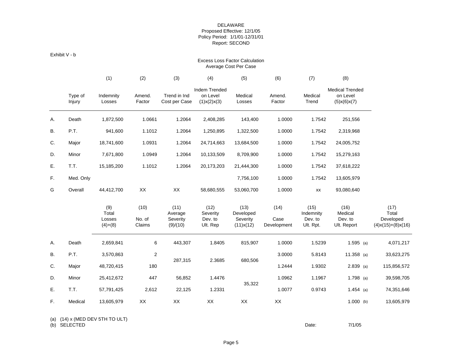## DELAWARE Proposed Effective: 12/1/05 Policy Period: 1/1/01-12/31/01 Report: SECOND

Exhibit V - b

# Excess Loss Factor CalculationAverage Cost Per Case

|           |                   | (1)                                 | (2)                      | (3)                                     | (4)                                      | (5)                                        | (6)                         | (7)                                       | (8)                                                         |                                                               |
|-----------|-------------------|-------------------------------------|--------------------------|-----------------------------------------|------------------------------------------|--------------------------------------------|-----------------------------|-------------------------------------------|-------------------------------------------------------------|---------------------------------------------------------------|
|           | Type of<br>Injury | Indemnity<br>Losses                 | Amend.<br>Factor         | Trend in Ind<br>Cost per Case           | Indem Trended<br>on Level<br>(1)x(2)x(3) | Medical<br>Losses                          | Amend.<br>Factor            | Medical<br>Trend                          | <b>Medical Trended</b><br>on Level<br>$(5)$ x $(6)$ x $(7)$ |                                                               |
| Α.        | Death             | 1,872,500                           | 1.0661                   | 1.2064                                  | 2,408,285                                | 143,400                                    | 1.0000                      | 1.7542                                    | 251,556                                                     |                                                               |
| <b>B.</b> | P.T.              | 941,600                             | 1.1012                   | 1.2064                                  | 1,250,895                                | 1,322,500                                  | 1.0000                      | 1.7542                                    | 2,319,968                                                   |                                                               |
| C.        | Major             | 18,741,600                          | 1.0931                   | 1.2064                                  | 24,714,663                               | 13,684,500                                 | 1.0000                      | 1.7542                                    | 24,005,752                                                  |                                                               |
| D.        | Minor             | 7,671,800                           | 1.0949                   | 1.2064                                  | 10,133,509                               | 8,709,900                                  | 1.0000                      | 1.7542                                    | 15,279,163                                                  |                                                               |
| Ε.        | T.T.              | 15,185,200                          | 1.1012                   | 1.2064                                  | 20,173,203                               | 21,444,300                                 | 1.0000                      | 1.7542                                    | 37,618,222                                                  |                                                               |
| F.        | Med. Only         |                                     |                          |                                         |                                          | 7,756,100                                  | 1.0000                      | 1.7542                                    | 13,605,979                                                  |                                                               |
| G         | Overall           | 44,412,700                          | XX                       | XX                                      | 58,680,555                               | 53,060,700                                 | 1.0000                      | XX                                        | 93,080,640                                                  |                                                               |
|           |                   | (9)<br>Total<br>Losses<br>$(4)+(8)$ | (10)<br>No. of<br>Claims | (11)<br>Average<br>Severity<br>(9)/(10) | (12)<br>Severity<br>Dev. to<br>Ult. Rep  | (13)<br>Developed<br>Severity<br>(11)x(12) | (14)<br>Case<br>Development | (15)<br>Indemnity<br>Dev. to<br>Ult. Rpt. | (16)<br>Medical<br>Dev. to<br>Ult. Report                   | (17)<br>Total<br>Developed<br>$(4)$ x $(15)$ + $(8)$ x $(16)$ |
| Α.        | Death             | 2,659,841                           | 6                        | 443,307                                 | 1.8405                                   | 815,907                                    | 1.0000                      | 1.5239                                    | 1.595 (a)                                                   | 4,071,217                                                     |
| <b>B.</b> | P.T.              | 3,570,863                           | $\overline{2}$           |                                         |                                          |                                            | 3.0000                      | 5.8143                                    | $11.358$ (a)                                                | 33,623,275                                                    |
| C.        | Major             | 48,720,415                          | 180                      | 287,315                                 | 2.3685                                   | 680,506                                    | 1.2444                      | 1.9302                                    | $2.839$ (a)                                                 | 115,856,572                                                   |
| D.        | Minor             | 25,412,672                          | 447                      | 56,852                                  | 1.4476                                   |                                            | 1.0962                      | 1.1967                                    | $1.798$ (a)                                                 | 39,598,705                                                    |
| Е.        | T.T.              | 57,791,425                          | 2,612                    | 22,125                                  | 1.2331                                   | 35,322                                     | 1.0077                      | 0.9743                                    | 1.454 (a)                                                   | 74,351,646                                                    |
| F.        | Medical           | 13,605,979                          | XX                       | XX                                      | XX                                       | XX                                         | XX                          |                                           | $1.000$ (b)                                                 | 13,605,979                                                    |
|           |                   |                                     |                          |                                         |                                          |                                            |                             |                                           |                                                             |                                                               |

(a) (14) x (MED DEV 5TH TO ULT)

(b) SELECTED Date: 7/1/05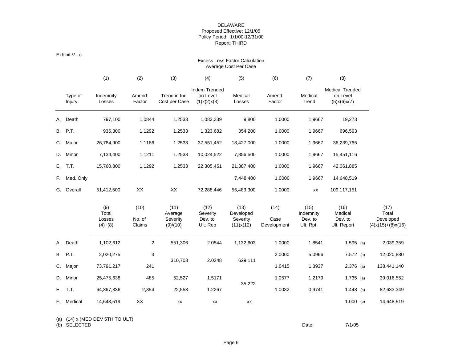# DELAWARE Proposed Effective: 12/1/05 Policy Period: 1/1/00-12/31/00 Report: THIRD

Exhibit V - c

# Excess Loss Factor CalculationAverage Cost Per Case

|     |                   | (1)                                 | (2)                      | (3)                                     | (4)                                      | (5)                                        | (6)                         | (7)                                       | (8)                                                         |                                                               |
|-----|-------------------|-------------------------------------|--------------------------|-----------------------------------------|------------------------------------------|--------------------------------------------|-----------------------------|-------------------------------------------|-------------------------------------------------------------|---------------------------------------------------------------|
|     | Type of<br>Injury | Indemnity<br>Losses                 | Amend.<br>Factor         | Trend in Ind<br>Cost per Case           | Indem Trended<br>on Level<br>(1)x(2)x(3) | Medical<br>Losses                          | Amend.<br>Factor            | Medical<br>Trend                          | <b>Medical Trended</b><br>on Level<br>$(5)$ x $(6)$ x $(7)$ |                                                               |
| А.  | Death             | 797,100                             | 1.0844                   | 1.2533                                  | 1,083,339                                | 9,800                                      | 1.0000                      | 1.9667                                    | 19,273                                                      |                                                               |
| B.  | P.T.              | 935,300                             | 1.1292                   | 1.2533                                  | 1,323,682                                | 354,200                                    | 1.0000                      | 1.9667                                    | 696,593                                                     |                                                               |
| C.  | Major             | 26,784,900                          | 1.1186                   | 1.2533                                  | 37,551,452                               | 18,427,000                                 | 1.0000                      | 1.9667                                    | 36,239,765                                                  |                                                               |
| D.  | Minor             | 7,134,400                           | 1.1211                   | 1.2533                                  | 10,024,522                               | 7,856,500                                  | 1.0000                      | 1.9667                                    | 15,451,116                                                  |                                                               |
| E.  | T.T.              | 15,760,800                          | 1.1292                   | 1.2533                                  | 22,305,451                               | 21,387,400                                 | 1.0000                      | 1.9667                                    | 42,061,885                                                  |                                                               |
| F.  | Med. Only         |                                     |                          |                                         |                                          | 7,448,400                                  | 1.0000                      | 1.9667                                    | 14,648,519                                                  |                                                               |
|     | G. Overall        | 51,412,500                          | XX                       | XX                                      | 72,288,446                               | 55,483,300                                 | 1.0000                      | XX                                        | 109,117,151                                                 |                                                               |
|     |                   | (9)<br>Total<br>Losses<br>$(4)+(8)$ | (10)<br>No. of<br>Claims | (11)<br>Average<br>Severity<br>(9)/(10) | (12)<br>Severity<br>Dev. to<br>Ult. Rep  | (13)<br>Developed<br>Severity<br>(11)x(12) | (14)<br>Case<br>Development | (15)<br>Indemnity<br>Dev. to<br>Ult. Rpt. | (16)<br>Medical<br>Dev. to<br>Ult. Report                   | (17)<br>Total<br>Developed<br>$(4)$ x $(15)$ + $(8)$ x $(16)$ |
| А.  | Death             | 1,102,612                           | $\overline{2}$           | 551,306                                 | 2.0544                                   | 1,132,603                                  | 1.0000                      | 1.8541                                    | 1.595 (a)                                                   | 2,039,359                                                     |
|     | <b>B.</b> P.T.    | 2,020,275                           | 3                        | 310,703                                 | 2.0248                                   |                                            | 2.0000                      | 5.0966                                    | $7.572$ (a)                                                 | 12,020,880                                                    |
| C.  | Major             | 73,791,217                          | 241                      |                                         |                                          | 629,111                                    | 1.0415                      | 1.3937                                    | $2.376$ (a)                                                 | 138,441,140                                                   |
| D.  | Minor             | 25,475,638                          | 485                      | 52,527                                  | 1.5171                                   | 35,222                                     | 1.0577                      | 1.2179                                    | 1.735 (a)                                                   | 39,016,552                                                    |
| E.  | T.T.              | 64,367,336                          | 2,854                    | 22,553                                  | 1.2267                                   |                                            | 1.0032                      | 0.9741                                    | 1.448 (a)                                                   | 82,633,349                                                    |
| F., | Medical           | 14,648,519                          | XX                       | XX                                      | XX                                       | XX                                         |                             |                                           | 1.000 (b)                                                   | 14,648,519                                                    |
|     |                   |                                     |                          |                                         |                                          |                                            |                             |                                           |                                                             |                                                               |

(a) (14) x (MED DEV 5TH TO ULT)

(b) SELECTED Date: 7/1/05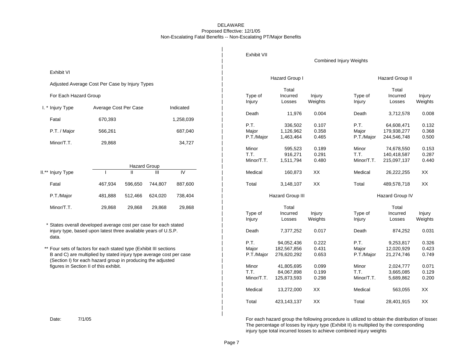### DELAWARE Proposed Effective: 12/1/05 Non-Escalating Fatal Benefits -- Non-Escalating PT/Major Benefits

 $\overline{1}$ 

|                   |                                                                                                                                    |                       |                     |           | Exhibit VII |                  |         |                                |                 |         |
|-------------------|------------------------------------------------------------------------------------------------------------------------------------|-----------------------|---------------------|-----------|-------------|------------------|---------|--------------------------------|-----------------|---------|
|                   |                                                                                                                                    |                       |                     |           |             |                  |         | <b>Combined Injury Weights</b> |                 |         |
| Exhibit VI        |                                                                                                                                    |                       |                     |           |             |                  |         |                                |                 |         |
|                   | Adjusted Average Cost Per Case by Injury Types                                                                                     |                       |                     |           |             | Hazard Group I   |         |                                | Hazard Group II |         |
|                   |                                                                                                                                    |                       |                     |           |             | Total            |         |                                | Total           |         |
|                   | For Each Hazard Group                                                                                                              |                       |                     |           | Type of     | Incurred         | Injury  | Type of                        | Incurred        | Injury  |
|                   |                                                                                                                                    |                       |                     |           | Injury      | Losses           | Weights | Injury                         | Losses          | Weights |
| I. * Injury Type  |                                                                                                                                    | Average Cost Per Case |                     | Indicated | Death       | 11,976           | 0.004   | Death                          | 3,712,578       | 0.008   |
| Fatal             | 670,393                                                                                                                            |                       |                     | 1,258,039 |             |                  |         |                                |                 |         |
|                   |                                                                                                                                    |                       |                     |           | P.T.        | 336,502          | 0.107   | P.T.                           | 64,608,471      | 0.132   |
| P.T. / Major      | 566,261                                                                                                                            |                       |                     | 687,040   | Major       | 1,126,962        | 0.358   | Major                          | 179,938,277     | 0.368   |
|                   |                                                                                                                                    |                       |                     |           | P.T./Major  | 1,463,464        | 0.465   | P.T./Major                     | 244,546,748     | 0.500   |
| Minor/T.T.        | 29,868                                                                                                                             |                       |                     | 34,727    | Minor       | 595,523          | 0.189   | Minor                          | 74,678,550      | 0.153   |
|                   |                                                                                                                                    |                       |                     |           | T.T.        | 916,271          | 0.291   | T.T.                           | 140,418,587     | 0.287   |
|                   |                                                                                                                                    |                       |                     |           | Minor/T.T.  | 1,511,794        | 0.480   | Minor/T.T.                     | 215,097,137     | 0.440   |
|                   |                                                                                                                                    |                       | <b>Hazard Group</b> |           |             |                  |         |                                |                 |         |
| II.** Injury Type |                                                                                                                                    | Ш                     | Ш                   | IV        | Medical     | 160,873          | XX      | Medical                        | 26,222,255      | XX      |
| Fatal             | 467,934                                                                                                                            | 596,650               | 744,807             | 887,600   | Total       | 3,148,107        | XX      | Total                          | 489,578,718     | XX.     |
| P.T./Major        | 481,888                                                                                                                            | 512,466               | 624,020             | 738,404   |             | Hazard Group III |         |                                | Hazard Group IV |         |
| Minor/T.T.        | 29,868                                                                                                                             | 29,868                | 29,868              | 29,868    |             | Total            |         |                                | Total           |         |
|                   |                                                                                                                                    |                       |                     |           | Type of     | Incurred         | Injury  | Type of                        | Incurred        | Injury  |
|                   |                                                                                                                                    |                       |                     |           | Injury      | Losses           | Weights | Injury                         | Losses          | Weights |
| data.             | * States overall developed average cost per case for each stated<br>injury type, based upon latest three available years of U.S.P. |                       |                     |           | Death       | 7,377,252        | 0.017   | Death                          | 874,252         | 0.031   |
|                   |                                                                                                                                    |                       |                     |           | P.T.        | 94,052,436       | 0.222   | P.T.                           | 9,253,817       | 0.326   |
|                   | ** Four sets of factors for each stated type (Exhibit III sections                                                                 |                       |                     |           | Major       | 182,567,856      | 0.431   | Major                          | 12,020,929      | 0.423   |
|                   | B and C) are multiplied by stated injury type average cost per case<br>(Section I) for each hazard group in producing the adjusted |                       |                     |           | P.T./Major  | 276,620,292      | 0.653   | P.T./Major                     | 21,274,746      | 0.749   |
|                   | finite in Continued of this publicity                                                                                              |                       |                     |           | $M = -1$    | $AA$ $00F$ $00F$ | 0.000   | $M_{\rm max}$                  | 0.004777        | 0.074   |

| I. * Injury Type | Average Cost Per Case | Indicated |
|------------------|-----------------------|-----------|
| Fatal            | 670,393               | 1,258,039 |
| P.T. / Major     | 566,261               | 687,040   |
| Minor/T.T.       | 29,868                | 34,727    |

|                   | <b>Hazard Group</b> |         |         |         |  |  |  |  |
|-------------------|---------------------|---------|---------|---------|--|--|--|--|
| II.** Injury Type |                     |         | Ш       | IV      |  |  |  |  |
| Fatal             | 467.934             | 596.650 | 744.807 | 887,600 |  |  |  |  |
| P.T./Major        | 481,888             | 512.466 | 624.020 | 738,404 |  |  |  |  |
| Minor/T.T.        | 29,868              | 29,868  | 29,868  | 29,868  |  |  |  |  |

\*\* For figures in Section II of this exhibit.

Date: 7/1/05

|             |                                                          |                     |         |                |            | Hazard Group I   |         |            | Hazard Group II |         |
|-------------|----------------------------------------------------------|---------------------|---------|----------------|------------|------------------|---------|------------|-----------------|---------|
|             | verage Cost Per Case by Injury Types                     |                     |         |                |            | Total            |         |            | Total           |         |
| azard Group |                                                          |                     |         |                | Type of    | Incurred         | Injury  | Type of    | Incurred        | Injury  |
|             |                                                          |                     |         |                | Injury     | Losses           | Weights | Injury     | Losses          | Weights |
|             | Average Cost Per Case                                    |                     |         | Indicated      |            |                  |         |            |                 |         |
|             |                                                          |                     |         |                | Death      | 11,976           | 0.004   | Death      | 3,712,578       | 0.008   |
|             | 670,393                                                  |                     |         | 1,258,039      |            |                  |         |            |                 |         |
|             |                                                          |                     |         |                | P.T.       | 336,502          | 0.107   | P.T.       | 64,608,471      | 0.132   |
|             | 566,261                                                  |                     |         | 687,040        | Major      | 1,126,962        | 0.358   | Major      | 179,938,277     | 0.368   |
|             |                                                          |                     |         |                | P.T./Major | 1,463,464        | 0.465   | P.T./Major | 244,546,748     | 0.500   |
|             | 29,868                                                   |                     |         | 34,727         |            |                  |         |            |                 |         |
|             |                                                          |                     |         |                | Minor      | 595,523          | 0.189   | Minor      | 74,678,550      | 0.153   |
|             |                                                          |                     |         |                | T.T.       | 916,271          | 0.291   | T.T.       | 140,418,587     | 0.287   |
|             |                                                          |                     |         |                | Minor/T.T. | 1,511,794        | 0.480   | Minor/T.T. | 215,097,137     | 0.440   |
|             |                                                          | <b>Hazard Group</b> |         |                |            |                  |         |            |                 |         |
|             |                                                          |                     | Ш       | $\overline{N}$ | Medical    | 160,873          | XX      | Medical    | 26,222,255      | XX      |
|             | 467,934                                                  | 596,650             | 744,807 | 887,600        | Total      | 3,148,107        | XX      | Total      | 489,578,718     | XX      |
|             | 481,888                                                  | 512,466             | 624,020 | 738,404        |            | Hazard Group III |         |            | Hazard Group IV |         |
|             | 29,868                                                   | 29,868              | 29,868  | 29,868         |            | Total            |         |            | Total           |         |
|             |                                                          |                     |         |                | Type of    | Incurred         | Injury  | Type of    | Incurred        | Injury  |
|             |                                                          |                     |         |                | Injury     | Losses           | Weights | Injury     | Losses          | Weights |
|             | all developed average cost per case for each stated      |                     |         |                |            |                  |         |            |                 |         |
|             | based upon latest three available years of U.S.P.        |                     |         |                | Death      | 7,377,252        | 0.017   | Death      | 874,252         | 0.031   |
|             |                                                          |                     |         |                | P.T.       | 94,052,436       | 0.222   | P.T.       | 9,253,817       | 0.326   |
|             | f factors for each stated type (Exhibit III sections     |                     |         |                | Major      | 182,567,856      | 0.431   | Major      | 12,020,929      | 0.423   |
|             | e multiplied by stated injury type average cost per case |                     |         |                | P.T./Major | 276,620,292      | 0.653   | P.T./Major | 21,274,746      | 0.749   |
|             | or each hazard group in producing the adjusted           |                     |         |                |            |                  |         |            |                 |         |
|             | ection II of this exhibit.                               |                     |         |                | Minor      | 41,805,695       | 0.099   | Minor      | 2,024,777       | 0.071   |
|             |                                                          |                     |         |                | T.T.       | 84,067,898       | 0.199   | T.T.       | 3,665,085       | 0.129   |
|             |                                                          |                     |         |                | Minor/T.T. | 125,873,593      | 0.298   | Minor/T.T. | 5,689,862       | 0.200   |
|             |                                                          |                     |         |                |            |                  |         |            |                 |         |
|             |                                                          |                     |         |                | Medical    | 13,272,000       | XX      | Medical    | 563,055         | XX      |
|             |                                                          |                     |         |                | Total      | 423,143,137      | XX      | Total      | 28,401,915      | XX      |

 For each hazard group the following procedure is utilized to obtain the distribution of losses The percentage of losses by injury type (Exhibit II) is multiplied by the corresponding injury type total incurred losses to achieve combined injury weights

|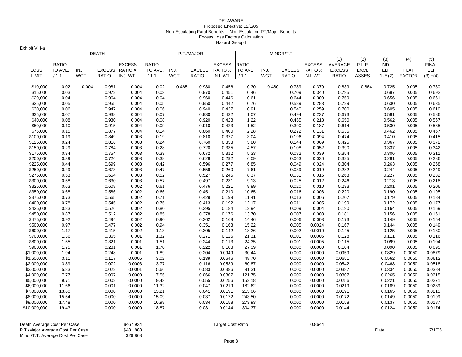#### DELAWARE Proposed Effective: 12/1/05 Non-Escalating Fatal Benefits -- Non-Escalating PT/Major Benefits Excess Loss Factors Calculation Hazard Group I

|              |              |       | <b>DEATH</b>  |                |              |       | P.T./MAJOR    |                |              |       | MINOR/T.T.    |               |               |        |               |               |              |
|--------------|--------------|-------|---------------|----------------|--------------|-------|---------------|----------------|--------------|-------|---------------|---------------|---------------|--------|---------------|---------------|--------------|
|              |              |       |               |                |              |       |               |                |              |       |               |               | (1)           | (2)    | (3)           | (4)           | (5)          |
|              | <b>RATIO</b> |       |               | <b>EXCESS</b>  | <b>RATIO</b> |       |               | <b>EXCESS</b>  | <b>RATIO</b> |       |               | <b>EXCESS</b> | AVERAGE       | P.L.R. | IND.          |               | <b>FINAL</b> |
| <b>LOSS</b>  | TO AVE.      | INJ.  | <b>EXCESS</b> | <b>RATIO X</b> | TO AVE.      | INJ.  | <b>EXCESS</b> | <b>RATIO X</b> | TO AVE.      | INJ.  | <b>EXCESS</b> | RATIO X       | <b>EXCESS</b> | EXCL.  | <b>ELF</b>    | <b>FLAT</b>   | <b>ELF</b>   |
| <b>LIMIT</b> | /1.1         | WGT.  | <b>RATIO</b>  | INJ. WT.       | /1.1         | WGT.  | <b>RATIO</b>  | INJ. WT.       | /1.1         | WGT.  | <b>RATIO</b>  | INJ. WT.      | <b>RATIO</b>  | ASSES. | $(1)$ * $(2)$ | <b>FACTOR</b> | $(3) + (4)$  |
| \$10,000     | 0.02         | 0.004 | 0.981         | 0.004          | 0.02         | 0.465 | 0.980         | 0.456          | 0.30         | 0.480 | 0.789         | 0.379         | 0.839         | 0.864  | 0.725         | 0.005         | 0.730        |
| \$15,000     | 0.03         |       | 0.972         | 0.004          | 0.03         |       | 0.970         | 0.451          | 0.46         |       | 0.709         | 0.340         | 0.795         |        | 0.687         | 0.005         | 0.692        |
| \$20,000     | 0.04         |       | 0.964         | 0.004          | 0.04         |       | 0.960         | 0.446          | 0.61         |       | 0.644         | 0.309         | 0.759         |        | 0.656         | 0.005         | 0.661        |
| \$25,000     | 0.05         |       | 0.955         | 0.004          | 0.05         |       | 0.950         | 0.442          | 0.76         |       | 0.589         | 0.283         | 0.729         |        | 0.630         | 0.005         | 0.635        |
| \$30,000     | 0.06         |       | 0.947         | 0.004          | 0.06         |       | 0.940         | 0.437          | 0.91         |       | 0.540         | 0.259         | 0.700         |        | 0.605         | 0.005         | 0.610        |
| \$35,000     | 0.07         |       | 0.938         | 0.004          | 0.07         |       | 0.930         | 0.432          | 1.07         |       | 0.494         | 0.237         | 0.673         |        | 0.581         | 0.005         | 0.586        |
| \$40,000     | 0.08         |       | 0.930         | 0.004          | 0.08         |       | 0.920         | 0.428          | 1.22         |       | 0.455         | 0.218         | 0.650         |        | 0.562         | 0.005         | 0.567        |
| \$50,000     | 0.10         |       | 0.915         | 0.004          | 0.09         |       | 0.910         | 0.423          | 1.52         |       | 0.390         | 0.187         | 0.614         |        | 0.530         | 0.005         | 0.535        |
| \$75,000     | 0.15         |       | 0.877         | 0.004          | 0.14         |       | 0.860         | 0.400          | 2.28         |       | 0.272         | 0.131         | 0.535         |        | 0.462         | 0.005         | 0.467        |
| \$100,000    | 0.19         |       | 0.849         | 0.003          | 0.19         |       | 0.810         | 0.377          | 3.04         |       | 0.196         | 0.094         | 0.474         |        | 0.410         | 0.005         | 0.415        |
| \$125,000    | 0.24         |       | 0.816         | 0.003          | 0.24         |       | 0.760         | 0.353          | 3.80         |       | 0.144         | 0.069         | 0.425         |        | 0.367         | 0.005         | 0.372        |
| \$150,000    | 0.29         |       | 0.784         | 0.003          | 0.28         |       | 0.720         | 0.335          | 4.57         |       | 0.108         | 0.052         | 0.390         |        | 0.337         | 0.005         | 0.342        |
| \$175,000    | 0.34         |       | 0.754         | 0.003          | 0.33         |       | 0.672         | 0.312          | 5.33         |       | 0.082         | 0.039         | 0.354         |        | 0.306         | 0.005         | 0.311        |
| \$200,000    | 0.39         |       | 0.726         | 0.003          | 0.38         |       | 0.628         | 0.292          | 6.09         |       | 0.063         | 0.030         | 0.325         |        | 0.281         | 0.005         | 0.286        |
| \$225,000    | 0.44         |       | 0.699         | 0.003          | 0.42         |       | 0.596         | 0.277          | 6.85         |       | 0.049         | 0.024         | 0.304         |        | 0.263         | 0.005         | 0.268        |
| \$250,000    | 0.49         |       | 0.673         | 0.003          | 0.47         |       | 0.559         | 0.260          | 7.61         |       | 0.039         | 0.019         | 0.282         |        | 0.244         | 0.005         | 0.249        |
| \$275,000    | 0.53         |       | 0.654         | 0.003          | 0.52         |       | 0.527         | 0.245          | 8.37         |       | 0.031         | 0.015         | 0.263         |        | 0.227         | 0.005         | 0.232        |
| \$300,000    | 0.58         |       | 0.630         | 0.003          | 0.57         |       | 0.497         | 0.231          | 9.13         |       | 0.025         | 0.012         | 0.246         |        | 0.213         | 0.005         | 0.218        |
| \$325,000    | 0.63         |       | 0.608         | 0.002          | 0.61         |       | 0.476         | 0.221          | 9.89         |       | 0.020         | 0.010         | 0.233         |        | 0.201         | 0.005         | 0.206        |
| \$350,000    | 0.68         |       | 0.586         | 0.002          | 0.66         |       | 0.451         | 0.210          | 10.65        |       | 0.016         | 0.008         | 0.220         |        | 0.190         | 0.005         | 0.195        |
| \$375,000    | 0.73         |       | 0.565         | 0.002          | 0.71         |       | 0.429         | 0.199          | 11.41        |       | 0.013         | 0.006         | 0.207         |        | 0.179         | 0.005         | 0.184        |
| \$400,000    | 0.78         |       | 0.545         | 0.002          | 0.75         |       | 0.413         | 0.192          | 12.17        |       | 0.011         | 0.005         | 0.199         |        | 0.172         | 0.005         | 0.177        |
| \$425,000    | 0.83         |       | 0.526         | 0.002          | 0.80         |       | 0.395         | 0.184          | 12.94        |       | 0.009         | 0.004         | 0.190         |        | 0.164         | 0.005         | 0.169        |
| \$450,000    | 0.87         |       | 0.512         | 0.002          | 0.85         |       | 0.378         | 0.176          | 13.70        |       | 0.007         | 0.003         | 0.181         |        | 0.156         | 0.005         | 0.161        |
| \$475,000    | 0.92         |       | 0.494         | 0.002          | 0.90         |       | 0.362         | 0.168          | 14.46        |       | 0.006         | 0.003         | 0.173         |        | 0.149         | 0.005         | 0.154        |
| \$500,000    | 0.97         |       | 0.477         | 0.002          | 0.94         |       | 0.351         | 0.163          | 15.22        |       | 0.005         | 0.0024        | 0.167         |        | 0.144         | 0.005         | 0.149        |
| \$600,000    | 1.17         |       | 0.415         | 0.002          | 1.13         |       | 0.305         | 0.142          | 18.26        |       | 0.002         | 0.0010        | 0.145         |        | 0.125         | 0.005         | 0.130        |
| \$700,000    | 1.36         |       | 0.365         | 0.001          | 1.32         |       | 0.271         | 0.126          | 21.31        |       | 0.001         | 0.0005        | 0.128         |        | 0.111         | 0.005         | 0.116        |
| \$800,000    | 1.55         |       | 0.321         | 0.001          | 1.51         |       | 0.244         | 0.113          | 24.35        |       | 0.001         | 0.0005        | 0.115         |        | 0.099         | 0.005         | 0.104        |
| \$900,000    | 1.75         |       | 0.281         | 0.001          | 1.70         |       | 0.222         | 0.103          | 27.39        |       | 0.000         | 0.0000        | 0.104         |        | 0.090         | 0.005         | 0.095        |
| \$1,000,000  | 1.94         |       | 0.248         | 0.001          | 1.89         |       | 0.204         | 0.0949         | 30.44        |       | 0.000         | 0.0000        | 0.0959        |        | 0.0829        | 0.0050        | 0.0879       |
| \$1,600,000  | 3.11         |       | 0.117         | 0.0005         | 3.02         |       | 0.139         | 0.0646         | 48.70        |       | 0.000         | 0.0000        | 0.0651        |        | 0.0562        | 0.0050        | 0.0612       |
| \$2,000,000  | 3.89         |       | 0.072         | 0.0003         | 3.77         |       | 0.116         | 0.0539         | 60.87        |       | 0.000         | 0.0000        | 0.0542        |        | 0.0468        | 0.0050        | 0.0518       |
| \$3,000,000  | 5.83         |       | 0.022         | 0.0001         | 5.66         |       | 0.083         | 0.0386         | 91.31        |       | 0.000         | 0.0000        | 0.0387        |        | 0.0334        | 0.0050        | 0.0384       |
| \$4,000,000  | 7.77         |       | 0.007         | 0.0000         | 7.55         |       | 0.066         | 0.0307         | 121.75       |       | 0.000         | 0.0000        | 0.0307        |        | 0.0265        | 0.0050        | 0.0315       |
| \$5,000,000  | 9.71         |       | 0.002         | 0.0000         | 9.43         |       | 0.055         | 0.0256         | 152.18       |       | 0.000         | 0.0000        | 0.0256        |        | 0.0221        | 0.0050        | 0.0271       |
| \$6,000,000  | 11.66        |       | 0.001         | 0.0000         | 11.32        |       | 0.047         | 0.0219         | 182.62       |       | 0.000         | 0.0000        | 0.0219        |        | 0.0189        | 0.0050        | 0.0239       |
| \$7,000,000  | 13.60        |       | 0.000         | 0.0000         | 13.21        |       | 0.041         | 0.0191         | 213.06       |       | 0.000         | 0.0000        | 0.0191        |        | 0.0165        | 0.0050        | 0.0215       |
| \$8,000,000  | 15.54        |       | 0.000         | 0.0000         | 15.09        |       | 0.037         | 0.0172         | 243.50       |       | 0.000         | 0.0000        | 0.0172        |        | 0.0149        | 0.0050        | 0.0199       |
| \$9,000,000  | 17.48        |       | 0.000         | 0.0000         | 16.98        |       | 0.034         | 0.0158         | 273.93       |       | 0.000         | 0.0000        | 0.0158        |        | 0.0137        | 0.0050        | 0.0187       |
| \$10,000,000 | 19.43        |       | 0.000         | 0.0000         | 18.87        |       | 0.031         | 0.0144         | 304.37       |       | 0.000         | 0.0000        | 0.0144        |        | 0.0124        | 0.0050        | 0.0174       |
|              |              |       |               |                |              |       |               |                |              |       |               |               |               |        |               |               |              |

Death Average Cost Per Case \$467,934 \$467,934 Target Cost Ratio \$1,000 \$644 \$67,934 \$167,934 Date:<br>P.T./Major Average Cost Per Case \$481,888 \$681,888 \$69,936 \$169,936 \$69,936 \$69,936 \$69,936 \$69,936 \$69,936 \$6 P.T./Major Average Cost Per Case \$481,888 \$481,888 Minor/T.T. Average Cost Per Case \$29,868

Exhibit VIII-a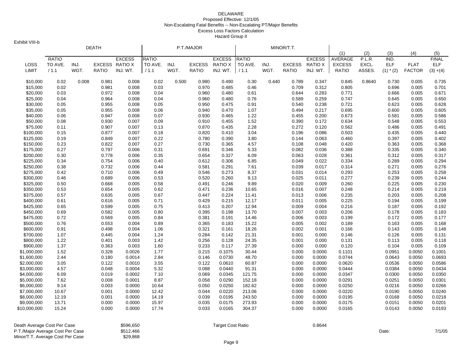### DELAWARE Proposed Effective: 12/1/05 Non-Escalating Fatal Benefits -- Non-Escalating PT/Major Benefits Excess Loss Factors Calculation Hazard Group II

Exhibit VIII-b

|                        |              |       | <b>DEATH</b>   |                       | P.T./MAJOR   |       |                |                |                |       | MINOR/T.T.     |                |                |        |                |                |                |
|------------------------|--------------|-------|----------------|-----------------------|--------------|-------|----------------|----------------|----------------|-------|----------------|----------------|----------------|--------|----------------|----------------|----------------|
|                        |              |       |                |                       |              |       |                |                |                |       |                |                | (1)            | (2)    | (3)            | (4)            | (5)            |
|                        | <b>RATIO</b> |       |                | <b>EXCESS</b>         | <b>RATIO</b> |       |                | <b>EXCESS</b>  | <b>RATIO</b>   |       |                | <b>EXCESS</b>  | <b>AVERAGE</b> | P.L.R. | IND.           |                | <b>FINAL</b>   |
| LOSS                   | TO AVE.      | INJ.  |                | <b>EXCESS RATIO X</b> | TO AVE.      | INJ.  | <b>EXCESS</b>  | <b>RATIO X</b> | TO AVE.        | INJ.  | <b>EXCESS</b>  | <b>RATIO X</b> | <b>EXCESS</b>  | EXCL.  | <b>ELF</b>     | <b>FLAT</b>    | <b>ELF</b>     |
| LIMIT                  | /1.1         | WGT.  | <b>RATIO</b>   | INJ. WT.              | /1.1         | WGT.  | <b>RATIO</b>   | INJ. WT.       | 1/1.1          | WGT.  | <b>RATIO</b>   | INJ. WT.       | <b>RATIO</b>   | ASSES. | $(1)$ * $(2)$  | <b>FACTOR</b>  | $(3) + (4)$    |
| \$10,000               | 0.02         | 0.008 | 0.981          | 0.008                 | 0.02         | 0.500 | 0.980          | 0.490          | 0.30           | 0.440 | 0.789          | 0.347          | 0.845          | 0.8640 | 0.730          | 0.005          | 0.735          |
| \$15,000               | 0.02         |       | 0.981          | 0.008                 | 0.03         |       | 0.970          | 0.485          | 0.46           |       | 0.709          | 0.312          | 0.805          |        | 0.696          | 0.005          | 0.701          |
| \$20,000               | 0.03         |       | 0.972          | 0.008                 | 0.04         |       | 0.960          | 0.480          | 0.61           |       | 0.644          | 0.283          | 0.771          |        | 0.666          | 0.005          | 0.671          |
| \$25,000               | 0.04         |       | 0.964          | 0.008                 | 0.04         |       | 0.960          | 0.480          | 0.76           |       | 0.589          | 0.259          | 0.747          |        | 0.645          | 0.005          | 0.650          |
| \$30,000               | 0.05         |       | 0.955          | 0.008                 | 0.05         |       | 0.950          | 0.475          | 0.91           |       | 0.540          | 0.238          | 0.721          |        | 0.623          | 0.005          | 0.628          |
| \$35,000               | 0.05         |       | 0.955          | 0.008                 | 0.06         |       | 0.940          | 0.470          | 1.07           |       | 0.494          | 0.217          | 0.695          |        | 0.600          | 0.005          | 0.605          |
| \$40,000               | 0.06         |       | 0.947          | 0.008                 | 0.07         |       | 0.930          | 0.465          | 1.22           |       | 0.455          | 0.200          | 0.673          |        | 0.581          | 0.005          | 0.586          |
| \$50,000               | 0.08         |       | 0.930          | 0.007                 | 0.09         |       | 0.910          | 0.455          | 1.52           |       | 0.390          | 0.172          | 0.634          |        | 0.548          | 0.005          | 0.553          |
| \$75,000               | 0.11         |       | 0.907          | 0.007                 | 0.13         |       | 0.870          | 0.435          | 2.28           |       | 0.272          | 0.120          | 0.562          |        | 0.486          | 0.005          | 0.491          |
| \$100,000              | 0.15         |       | 0.877          | 0.007                 | 0.18         |       | 0.820          | 0.410          | 3.04           |       | 0.196          | 0.086          | 0.503          |        | 0.435          | 0.005          | 0.440          |
| \$125,000              | 0.19         |       | 0.849          | 0.007                 | 0.22         |       | 0.780          | 0.390          | 3.80           |       | 0.144          | 0.063          | 0.460          |        | 0.397          | 0.005          | 0.402          |
| \$150,000              | 0.23         |       | 0.822          | 0.007                 | 0.27         |       | 0.730          | 0.365          | 4.57           |       | 0.108          | 0.048          | 0.420          |        | 0.363          | 0.005          | 0.368          |
| \$175,000              | 0.27         |       | 0.797          | 0.006                 | 0.31         |       | 0.691          | 0.346          | 5.33           |       | 0.082          | 0.036          | 0.388          |        | 0.335          | 0.005          | 0.340          |
| \$200,000              | 0.30         |       | 0.778          | 0.006                 | 0.35         |       | 0.654          | 0.327          | 6.09           |       | 0.063          | 0.028          | 0.361          |        | 0.312          | 0.005          | 0.317          |
| \$225,000              | 0.34         |       | 0.754          | 0.006                 | 0.40         |       | 0.612          | 0.306          | 6.85           |       | 0.049          | 0.022          | 0.334          |        | 0.289          | 0.005          | 0.294          |
| \$250,000              | 0.38         |       | 0.732          | 0.006                 | 0.44         |       | 0.581          | 0.291          | 7.61           |       | 0.039          | 0.017          | 0.314          |        | 0.271          | 0.005          | 0.276          |
| \$275,000              | 0.42         |       | 0.710          | 0.006                 | 0.49         |       | 0.546          | 0.273          | 8.37           |       | 0.031          | 0.014          | 0.293          |        | 0.253          | 0.005          | 0.258          |
| \$300,000              | 0.46         |       | 0.689          | 0.006                 | 0.53         |       | 0.520          | 0.260          | 9.13           |       | 0.025          | 0.011          | 0.277          |        | 0.239          | 0.005          | 0.244          |
| \$325,000              | 0.50         |       | 0.668          | 0.005                 | 0.58         |       | 0.491          | 0.246          | 9.89           |       | 0.020          | 0.009          | 0.260          |        | 0.225          | 0.005          | 0.230          |
| \$350,000<br>\$375,000 | 0.53         |       | 0.654<br>0.635 | 0.005                 | 0.62         |       | 0.471          | 0.236          | 10.65          |       | 0.016          | 0.007          | 0.248          |        | 0.214<br>0.203 | 0.005          | 0.219<br>0.208 |
|                        | 0.57         |       |                | 0.005                 | 0.67         |       | 0.447          | 0.224          | 11.41          |       | 0.013          | 0.006          | 0.235          |        |                | 0.005          |                |
| \$400,000<br>\$425,000 | 0.61<br>0.65 |       | 0.616<br>0.599 | 0.005<br>0.005        | 0.71         |       | 0.429          | 0.215<br>0.207 | 12.17<br>12.94 |       | 0.011          | 0.005          | 0.225<br>0.216 |        | 0.194<br>0.187 | 0.005          | 0.199<br>0.192 |
| \$450,000              | 0.69         |       | 0.582          | 0.005                 | 0.75<br>0.80 |       | 0.413<br>0.395 | 0.198          | 13.70          |       | 0.009<br>0.007 | 0.004<br>0.003 | 0.206          |        | 0.178          | 0.005<br>0.005 | 0.183          |
| \$475,000              | 0.72         |       | 0.569          | 0.005                 | 0.84         |       | 0.381          | 0.191          | 14.46          |       | 0.006          | 0.003          | 0.199          |        | 0.172          | 0.005          | 0.177          |
| \$500,000              | 0.76         |       | 0.553          | 0.004                 | 0.89         |       | 0.365          | 0.183          | 15.22          |       | 0.005          | 0.002          | 0.189          |        | 0.163          | 0.005          | 0.168          |
| \$600,000              | 0.91         |       | 0.498          | 0.004                 | 1.06         |       | 0.321          | 0.161          | 18.26          |       | 0.002          | 0.001          | 0.166          |        | 0.143          | 0.005          | 0.148          |
| \$700,000              | 1.07         |       | 0.445          | 0.004                 | 1.24         |       | 0.284          | 0.142          | 21.31          |       | 0.001          | 0.000          | 0.146          |        | 0.126          | 0.005          | 0.131          |
| \$800,000              | 1.22         |       | 0.401          | 0.003                 | 1.42         |       | 0.256          | 0.128          | 24.35          |       | 0.001          | 0.000          | 0.131          |        | 0.113          | 0.005          | 0.118          |
| \$900,000              | 1.37         |       | 0.363          | 0.003                 | 1.60         |       | 0.233          | 0.117          | 27.39          |       | 0.000          | 0.000          | 0.120          |        | 0.104          | 0.005          | 0.109          |
| \$1,000,000            | 1.52         |       | 0.328          | 0.0026                | 1.77         |       | 0.215          | 0.1075         | 30.44          |       | 0.000          | 0.0000         | 0.1101         |        | 0.0951         | 0.0050         | 0.1001         |
| \$1,600,000            | 2.44         |       | 0.180          | 0.0014                | 2.84         |       | 0.146          | 0.0730         | 48.70          |       | 0.000          | 0.0000         | 0.0744         |        | 0.0643         | 0.0050         | 0.0693         |
| \$2,000,000            | 3.05         |       | 0.122          | 0.0010                | 3.55         |       | 0.122          | 0.0610         | 60.87          |       | 0.000          | 0.0000         | 0.0620         |        | 0.0536         | 0.0050         | 0.0586         |
| \$3,000,000            | 4.57         |       | 0.048          | 0.0004                | 5.32         |       | 0.088          | 0.0440         | 91.31          |       | 0.000          | 0.0000         | 0.0444         |        | 0.0384         | 0.0050         | 0.0434         |
| \$4,000,000            | 6.09         |       | 0.019          | 0.0002                | 7.10         |       | 0.069          | 0.0345         | 121.75         |       | 0.000          | 0.0000         | 0.0347         |        | 0.0300         | 0.0050         | 0.0350         |
| \$5,000,000            | 7.62         |       | 0.008          | 0.0001                | 8.87         |       | 0.058          | 0.0290         | 152.18         |       | 0.000          | 0.0000         | 0.0291         |        | 0.0251         | 0.0050         | 0.0301         |
| \$6,000,000            | 9.14         |       | 0.003          | 0.0000                | 10.64        |       | 0.050          | 0.0250         | 182.62         |       | 0.000          | 0.0000         | 0.0250         |        | 0.0216         | 0.0050         | 0.0266         |
| \$7,000,000            | 10.67        |       | 0.001          | 0.0000                | 12.42        |       | 0.044          | 0.0220         | 213.06         |       | 0.000          | 0.0000         | 0.0220         |        | 0.0190         | 0.0050         | 0.0240         |
| \$8,000,000            | 12.19        |       | 0.001          | 0.0000                | 14.19        |       | 0.039          | 0.0195         | 243.50         |       | 0.000          | 0.0000         | 0.0195         |        | 0.0168         | 0.0050         | 0.0218         |
| \$9,000,000            | 13.71        |       | 0.000          | 0.0000                | 15.97        |       | 0.035          | 0.0175         | 273.93         |       | 0.000          | 0.0000         | 0.0175         |        | 0.0151         | 0.0050         | 0.0201         |
| \$10,000,000           | 15.24        |       | 0.000          | 0.0000                | 17.74        |       | 0.033          | 0.0165         | 304.37         |       | 0.000          | 0.0000         | 0.0165         |        | 0.0143         | 0.0050         | 0.0193         |
|                        |              |       |                |                       |              |       |                |                |                |       |                |                |                |        |                |                |                |

Death Average Cost Per Case **\$596,650** \$596,650 Target Cost Ratio **Target Cost Ratio** 0.8644 P.T./Major Average Cost Per Case \$512,466 \$512,466 \$512,466 \$512,466 Date: \$512,466 Date: \$512,466 Date: \$512,466 Minor/T.T. Average Cost Per Case \$29,868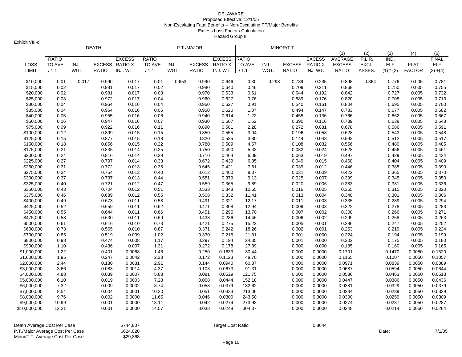### DELAWARE Proposed Effective: 12/1/05 Non-Escalating Fatal Benefits -- Non-Escalating PT/Major Benefits Excess Loss Factors Calculation Hazard Group III

Exhibit VIII-c

|                            |              |       | <b>DEATH</b>   |                  |              |       | P.T./MAJOR     |                  |                  |       | MINOR/T.T.     |                  |                  |        |                  |                  |                  |
|----------------------------|--------------|-------|----------------|------------------|--------------|-------|----------------|------------------|------------------|-------|----------------|------------------|------------------|--------|------------------|------------------|------------------|
|                            |              |       |                |                  |              |       |                |                  |                  |       |                |                  | (1)              | (2)    | (3)              | (4)              | (5)              |
|                            | <b>RATIO</b> |       |                | <b>EXCESS</b>    | <b>RATIO</b> |       |                | <b>EXCESS</b>    | <b>RATIO</b>     |       |                | <b>EXCESS</b>    | <b>AVERAGE</b>   | P.L.R. | IND.             |                  | <b>FINAL</b>     |
| <b>LOSS</b>                | TO AVE.      | INJ.  |                | EXCESS RATIO X   | TO AVE.      | INJ.  | <b>EXCESS</b>  | <b>RATIO X</b>   | TO AVE.          | INJ.  | <b>EXCESS</b>  | <b>RATIO X</b>   | <b>EXCESS</b>    | EXCL.  | <b>ELF</b>       | <b>FLAT</b>      | <b>ELF</b>       |
| <b>LIMIT</b>               | /1.1         | WGT.  | <b>RATIO</b>   | INJ. WT.         | /1.1         | WGT.  | <b>RATIO</b>   | INJ. WT.         | /1.1             | WGT.  | <b>RATIO</b>   | INJ. WT.         | <b>RATIO</b>     | ASSES. | $(1)$ * $(2)$    | <b>FACTOR</b>    | $(3) + (4)$      |
| \$10,000                   | 0.01         | 0.017 | 0.990          | 0.017            | 0.01         | 0.653 | 0.990          | 0.646            | 0.30             | 0.298 | 0.789          | 0.235            | 0.898            | 0.864  | 0.776            | 0.005            | 0.781            |
| \$15,000                   | 0.02         |       | 0.981          | 0.017            | 0.02         |       | 0.980          | 0.640            | 0.46             |       | 0.709          | 0.211            | 0.868            |        | 0.750            | 0.005            | 0.755            |
| \$20,000                   | 0.02         |       | 0.981          | 0.017            | 0.03         |       | 0.970          | 0.633            | 0.61             |       | 0.644          | 0.192            | 0.842            |        | 0.727            | 0.005            | 0.732            |
| \$25,000                   | 0.03         |       | 0.972          | 0.017            | 0.04         |       | 0.960          | 0.627            | 0.76             |       | 0.589          | 0.176            | 0.820            |        | 0.708            | 0.005            | 0.713            |
| \$30,000<br>\$35,000       | 0.04<br>0.04 |       | 0.964<br>0.964 | 0.016<br>0.016   | 0.04         |       | 0.960<br>0.950 | 0.627            | 0.91             |       | 0.540          | 0.161<br>0.147   | 0.804<br>0.783   |        | 0.695<br>0.677   | 0.005<br>0.005   | 0.700<br>0.682   |
| \$40,000                   | 0.05         |       | 0.955          | 0.016            | 0.05<br>0.06 |       | 0.940          | 0.620<br>0.614   | 1.07<br>1.22     |       | 0.494<br>0.455 | 0.136            | 0.766            |        | 0.662            | 0.005            | 0.667            |
| \$50,000                   | 0.06         |       | 0.947          | 0.016            | 0.07         |       | 0.930          | 0.607            | 1.52             |       | 0.390          | 0.116            | 0.739            |        | 0.638            | 0.005            | 0.643            |
| \$75,000                   | 0.09         |       | 0.922          | 0.016            | 0.11         |       | 0.890          | 0.581            | 2.28             |       | 0.272          | 0.081            | 0.678            |        | 0.586            | 0.005            | 0.591            |
| \$100,000                  | 0.12         |       | 0.899          | 0.015            | 0.15         |       | 0.850          | 0.555            | 3.04             |       | 0.196          | 0.058            | 0.628            |        | 0.543            | 0.005            | 0.548            |
| \$125,000                  | 0.15         |       | 0.877          | 0.015            | 0.18         |       | 0.820          | 0.535            | 3.80             |       | 0.144          | 0.043            | 0.593            |        | 0.512            | 0.005            | 0.517            |
| \$150,000                  | 0.18         |       | 0.856          | 0.015            | 0.22         |       | 0.780          | 0.509            | 4.57             |       | 0.108          | 0.032            | 0.556            |        | 0.480            | 0.005            | 0.485            |
| \$175,000                  | 0.21         |       | 0.835          | 0.014            | 0.25         |       | 0.750          | 0.490            | 5.33             |       | 0.082          | 0.024            | 0.528            |        | 0.456            | 0.005            | 0.461            |
| \$200,000                  | 0.24         |       | 0.816          | 0.014            | 0.29         |       | 0.710          | 0.464            | 6.09             |       | 0.063          | 0.019            | 0.497            |        | 0.429            | 0.005            | 0.434            |
| \$225,000                  | 0.27         |       | 0.797          | 0.014            | 0.33         |       | 0.672          | 0.439            | 6.85             |       | 0.049          | 0.015            | 0.468            |        | 0.404            | 0.005            | 0.409            |
| \$250,000                  | 0.31         |       | 0.772          | 0.013            | 0.36         |       | 0.645          | 0.421            | 7.61             |       | 0.039          | 0.012            | 0.446            |        | 0.385            | 0.005            | 0.390            |
| \$275,000                  | 0.34         |       | 0.754          | 0.013            | 0.40         |       | 0.612          | 0.400            | 8.37             |       | 0.031          | 0.009            | 0.422            |        | 0.365            | 0.005            | 0.370            |
| \$300,000                  | 0.37         |       | 0.737          | 0.013            | 0.44         |       | 0.581          | 0.379            | 9.13             |       | 0.025          | 0.007            | 0.399            |        | 0.345            | 0.005            | 0.350            |
| \$325,000                  | 0.40         |       | 0.721          | 0.012            | 0.47         |       | 0.559          | 0.365            | 9.89             |       | 0.020          | 0.006            | 0.383            |        | 0.331            | 0.005            | 0.336            |
| \$350,000<br>\$375,000     | 0.43<br>0.46 |       | 0.704<br>0.689 | 0.012<br>0.012   | 0.51<br>0.55 |       | 0.533<br>0.508 | 0.348<br>0.332   | 10.65<br>11.41   |       | 0.016<br>0.013 | 0.005<br>0.004   | 0.365<br>0.348   |        | 0.315<br>0.301   | 0.005<br>0.005   | 0.320<br>0.306   |
| \$400,000                  | 0.49         |       | 0.673          | 0.011            | 0.58         |       | 0.491          | 0.321            | 12.17            |       | 0.011          | 0.003            | 0.335            |        | 0.289            | 0.005            | 0.294            |
| \$425,000                  | 0.52         |       | 0.659          | 0.011            | 0.62         |       | 0.471          | 0.308            | 12.94            |       | 0.009          | 0.003            | 0.322            |        | 0.278            | 0.005            | 0.283            |
| \$450,000                  | 0.55         |       | 0.644          | 0.011            | 0.66         |       | 0.451          | 0.295            | 13.70            |       | 0.007          | 0.002            | 0.308            |        | 0.266            | 0.005            | 0.271            |
| \$475,000                  | 0.58         |       | 0.630          | 0.011            | 0.69         |       | 0.438          | 0.286            | 14.46            |       | 0.006          | 0.002            | 0.299            |        | 0.258            | 0.005            | 0.263            |
| \$500,000                  | 0.61         |       | 0.616          | 0.010            | 0.73         |       | 0.421          | 0.275            | 15.22            |       | 0.005          | 0.001            | 0.286            |        | 0.247            | 0.005            | 0.252            |
| \$600,000                  | 0.73         |       | 0.565          | 0.010            | 0.87         |       | 0.371          | 0.242            | 18.26            |       | 0.002          | 0.001            | 0.253            |        | 0.219            | 0.005            | 0.224            |
| \$700,000                  | 0.85         |       | 0.519          | 0.009            | 1.02         |       | 0.330          | 0.215            | 21.31            |       | 0.001          | 0.000            | 0.224            |        | 0.194            | 0.005            | 0.199            |
| \$800,000                  | 0.98         |       | 0.474          | 0.008            | 1.17         |       | 0.297          | 0.194            | 24.35            |       | 0.001          | 0.000            | 0.202            |        | 0.175            | 0.005            | 0.180            |
| \$900,000                  | 1.10         |       | 0.436          | 0.007            | 1.31         |       | 0.272          | 0.178            | 27.39            |       | 0.000          | 0.000            | 0.185            |        | 0.160            | 0.005            | 0.165            |
| \$1,000,000                | 1.22         |       | 0.401          | 0.0068           | 1.46         |       | 0.250          | 0.1633           | 30.44            |       | 0.000          | 0.0000           | 0.1701           |        | 0.1470           | 0.0050           | 0.1520           |
| \$1,600,000                | 1.95         |       | 0.247          | 0.0042           | 2.33         |       | 0.172          | 0.1123           | 48.70            |       | 0.000          | 0.0000           | 0.1165           |        | 0.1007           | 0.0050           | 0.1057           |
| \$2,000,000                | 2.44         |       | 0.180          | 0.0031           | 2.91         |       | 0.144          | 0.0940           | 60.87            |       | 0.000          | 0.0000           | 0.0971           |        | 0.0839           | 0.0050           | 0.0889           |
| \$3,000,000                | 3.66         |       | 0.083          | 0.0014           | 4.37         |       | 0.103          | 0.0673           | 91.31            |       | 0.000          | 0.0000           | 0.0687           |        | 0.0594           | 0.0050           | 0.0644           |
| \$4,000,000<br>\$5,000,000 | 4.88<br>6.10 |       | 0.039<br>0.019 | 0.0007<br>0.0003 | 5.83<br>7.28 |       | 0.081<br>0.068 | 0.0529<br>0.0444 | 121.75<br>152.18 |       | 0.000<br>0.000 | 0.0000<br>0.0000 | 0.0536<br>0.0447 |        | 0.0463<br>0.0386 | 0.0050<br>0.0050 | 0.0513<br>0.0436 |
| \$6,000,000                | 7.32         |       | 0.009          | 0.0002           | 8.74         |       | 0.058          | 0.0379           | 182.62           |       | 0.000          | 0.0000           | 0.0381           |        | 0.0329           | 0.0050           | 0.0379           |
| \$7,000,000                | 8.54         |       | 0.004          | 0.0001           | 10.20        |       | 0.051          | 0.0333           | 213.06           |       | 0.000          | 0.0000           | 0.0334           |        | 0.0289           | 0.0050           | 0.0339           |
| \$8,000,000                | 9.76         |       | 0.002          | 0.0000           | 11.65        |       | 0.046          | 0.0300           | 243.50           |       | 0.000          | 0.0000           | 0.0300           |        | 0.0259           | 0.0050           | 0.0309           |
| \$9,000,000                | 10.99        |       | 0.001          | 0.0000           | 13.11        |       | 0.042          | 0.0274           | 273.93           |       | 0.000          | 0.0000           | 0.0274           |        | 0.0237           | 0.0050           | 0.0287           |
| \$10,000,000               | 12.21        |       | 0.001          | 0.0000           | 14.57        |       | 0.038          | 0.0248           | 304.37           |       | 0.000          | 0.0000           | 0.0248           |        | 0.0214           | 0.0050           | 0.0264           |
|                            |              |       |                |                  |              |       |                |                  |                  |       |                |                  |                  |        |                  |                  |                  |

Death Average Cost Per Case **\$744,807** \$744,807 Target Cost Ratio **Target Cost Ratio** 0.8644 P.T./Major Average Cost Per Case \$624,020 \$624,020 \$624,020 \$624,020 \$624,020 \$624,020 \$624,020 \$624,020 \$624,020 Minor/T.T. Average Cost Per Case \$29,868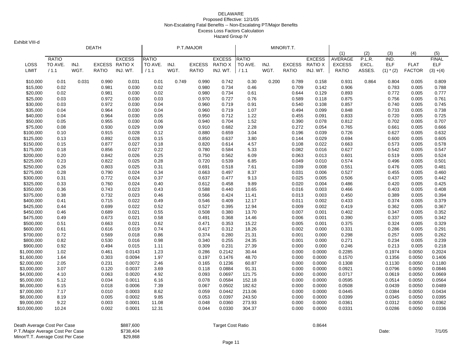### DELAWARE Proposed Effective: 12/1/05 Non-Escalating Fatal Benefits -- Non-Escalating PT/Major Benefits Excess Loss Factors Calculation Hazard Group IV

Exhibit VIII-d

|                        |              |       | <b>DEATH</b>          |                | P.T./MAJOR   |       |                |                |              |       | MINOR/T.T.     |                |                |        |                |                |                |  |
|------------------------|--------------|-------|-----------------------|----------------|--------------|-------|----------------|----------------|--------------|-------|----------------|----------------|----------------|--------|----------------|----------------|----------------|--|
|                        |              |       |                       |                |              |       |                |                |              |       |                |                | (1)            | (2)    | (3)            | (4)            | (5)            |  |
|                        | <b>RATIO</b> |       |                       | <b>EXCESS</b>  | <b>RATIO</b> |       |                | <b>EXCESS</b>  | <b>RATIO</b> |       |                | <b>EXCESS</b>  | <b>AVERAGE</b> | P.L.R. | IND.           |                | <b>FINAL</b>   |  |
| LOSS                   | TO AVE.      | INJ.  | <b>EXCESS RATIO X</b> |                | TO AVE.      | INJ.  | <b>EXCESS</b>  | RATIO X        | TO AVE.      | INJ.  | <b>EXCESS</b>  | <b>RATIO X</b> | <b>EXCESS</b>  | EXCL.  | <b>ELF</b>     | <b>FLAT</b>    | <b>ELF</b>     |  |
| <b>LIMIT</b>           | /1.1         | WGT.  | <b>RATIO</b>          | INJ. WT.       | /1.1         | WGT.  | <b>RATIO</b>   | INJ. WT.       | /1.1         | WGT.  | <b>RATIO</b>   | INJ. WT.       | <b>RATIO</b>   | ASSES. | $(1)$ * $(2)$  | <b>FACTOR</b>  | $(3) + (4)$    |  |
| \$10,000               | 0.01         | 0.031 | 0.990                 | 0.031          | 0.01         | 0.749 | 0.990          | 0.742          | 0.30         | 0.200 | 0.789          | 0.158          | 0.931          | 0.864  | 0.804          | 0.005          | 0.809          |  |
| \$15,000               | 0.02         |       | 0.981                 | 0.030          | 0.02         |       | 0.980          | 0.734          | 0.46         |       | 0.709          | 0.142          | 0.906          |        | 0.783          | 0.005          | 0.788          |  |
| \$20,000               | 0.02         |       | 0.981                 | 0.030          | 0.02         |       | 0.980          | 0.734          | 0.61         |       | 0.644          | 0.129          | 0.893          |        | 0.772          | 0.005          | 0.777          |  |
| \$25,000               | 0.03         |       | 0.972                 | 0.030          | 0.03         |       | 0.970          | 0.727          | 0.76         |       | 0.589          | 0.118          | 0.875          |        | 0.756          | 0.005          | 0.761          |  |
| \$30,000               | 0.03         |       | 0.972                 | 0.030          | 0.04         |       | 0.960          | 0.719          | 0.91         |       | 0.540          | 0.108          | 0.857          |        | 0.740          | 0.005          | 0.745          |  |
| \$35,000               | 0.04         |       | 0.964                 | 0.030          | 0.04         |       | 0.960          | 0.719          | 1.07         |       | 0.494          | 0.099          | 0.848          |        | 0.733          | 0.005          | 0.738          |  |
| \$40,000               | 0.04         |       | 0.964                 | 0.030          | 0.05         |       | 0.950          | 0.712          | 1.22         |       | 0.455          | 0.091          | 0.833          |        | 0.720          | 0.005          | 0.725          |  |
| \$50,000               | 0.05         |       | 0.955                 | 0.030          | 0.06         |       | 0.940          | 0.704          | 1.52         |       | 0.390          | 0.078          | 0.812          |        | 0.702          | 0.005          | 0.707          |  |
| \$75,000               | 0.08<br>0.10 |       | 0.930<br>0.915        | 0.029<br>0.028 | 0.09         |       | 0.910<br>0.880 | 0.682<br>0.659 | 2.28         |       | 0.272<br>0.196 | 0.054<br>0.039 | 0.765<br>0.726 |        | 0.661<br>0.627 | 0.005<br>0.005 | 0.666          |  |
| \$100,000<br>\$125,000 | 0.13         |       | 0.892                 | 0.028          | 0.12<br>0.15 |       | 0.850          | 0.637          | 3.04<br>3.80 |       |                | 0.029          | 0.694          |        | 0.600          | 0.005          | 0.632<br>0.605 |  |
| \$150,000              | 0.15         |       | 0.877                 | 0.027          | 0.18         |       | 0.820          | 0.614          | 4.57         |       | 0.144<br>0.108 | 0.022          | 0.663          |        | 0.573          | 0.005          | 0.578          |  |
| \$175,000              | 0.18         |       | 0.856                 | 0.027          | 0.22         |       | 0.780          | 0.584          | 5.33         |       | 0.082          | 0.016          | 0.627          |        | 0.542          | 0.005          | 0.547          |  |
| \$200,000              | 0.20         |       | 0.842                 | 0.026          | 0.25         |       | 0.750          | 0.562          | 6.09         |       | 0.063          | 0.013          | 0.601          |        | 0.519          | 0.005          | 0.524          |  |
| \$225,000              | 0.23         |       | 0.822                 | 0.025          | 0.28         |       | 0.720          | 0.539          | 6.85         |       | 0.049          | 0.010          | 0.574          |        | 0.496          | 0.005          | 0.501          |  |
| \$250,000              | 0.26         |       | 0.803                 | 0.025          | 0.31         |       | 0.691          | 0.518          | 7.61         |       | 0.039          | 0.008          | 0.551          |        | 0.476          | 0.005          | 0.481          |  |
| \$275,000              | 0.28         |       | 0.790                 | 0.024          | 0.34         |       | 0.663          | 0.497          | 8.37         |       | 0.031          | 0.006          | 0.527          |        | 0.455          | 0.005          | 0.460          |  |
| \$300,000              | 0.31         |       | 0.772                 | 0.024          | 0.37         |       | 0.637          | 0.477          | 9.13         |       | 0.025          | 0.005          | 0.506          |        | 0.437          | 0.005          | 0.442          |  |
| \$325,000              | 0.33         |       | 0.760                 | 0.024          | 0.40         |       | 0.612          | 0.458          | 9.89         |       | 0.020          | 0.004          | 0.486          |        | 0.420          | 0.005          | 0.425          |  |
| \$350,000              | 0.36         |       | 0.743                 | 0.023          | 0.43         |       | 0.588          | 0.440          | 10.65        |       | 0.016          | 0.003          | 0.466          |        | 0.403          | 0.005          | 0.408          |  |
| \$375,000              | 0.38         |       | 0.732                 | 0.023          | 0.46         |       | 0.566          | 0.424          | 11.41        |       | 0.013          | 0.003          | 0.450          |        | 0.389          | 0.005          | 0.394          |  |
| \$400,000              | 0.41         |       | 0.715                 | 0.022          | 0.49         |       | 0.546          | 0.409          | 12.17        |       | 0.011          | 0.002          | 0.433          |        | 0.374          | 0.005          | 0.379          |  |
| \$425,000              | 0.44         |       | 0.699                 | 0.022          | 0.52         |       | 0.527          | 0.395          | 12.94        |       | 0.009          | 0.002          | 0.419          |        | 0.362          | 0.005          | 0.367          |  |
| \$450,000              | 0.46         |       | 0.689                 | 0.021          | 0.55         |       | 0.508          | 0.380          | 13.70        |       | 0.007          | 0.001          | 0.402          |        | 0.347          | 0.005          | 0.352          |  |
| \$475,000              | 0.49         |       | 0.673                 | 0.021          | 0.58         |       | 0.491          | 0.368          | 14.46        |       | 0.006          | 0.001          | 0.390          |        | 0.337          | 0.005          | 0.342          |  |
| \$500,000              | 0.51         |       | 0.663                 | 0.021          | 0.62         |       | 0.471          | 0.353          | 15.22        |       | 0.005          | 0.001          | 0.375          |        | 0.324          | 0.005          | 0.329          |  |
| \$600,000              | 0.61         |       | 0.616                 | 0.019          | 0.74         |       | 0.417          | 0.312          | 18.26        |       | 0.002          | 0.000          | 0.331          |        | 0.286          | 0.005          | 0.291          |  |
| \$700,000              | 0.72         |       | 0.569                 | 0.018          | 0.86         |       | 0.374          | 0.280          | 21.31        |       | 0.001          | 0.000          | 0.298          |        | 0.257          | 0.005          | 0.262          |  |
| \$800,000              | 0.82         |       | 0.530                 | 0.016          | 0.98         |       | 0.340          | 0.255          | 24.35        |       | 0.001          | 0.000          | 0.271          |        | 0.234          | 0.005          | 0.239          |  |
| \$900,000              | 0.92         |       | 0.494                 | 0.015          | 1.11         |       | 0.309          | 0.231          | 27.39        |       | 0.000          | 0.000          | 0.246          |        | 0.213          | 0.005          | 0.218          |  |
| \$1,000,000            | 1.02         |       | 0.461                 | 0.0143         | 1.23         |       | 0.286          | 0.2142         | 30.44        |       | 0.000          | 0.0000         | 0.2285         |        | 0.1974         | 0.0050         | 0.2024         |  |
| \$1,600,000            | 1.64         |       | 0.303                 | 0.0094         | 1.97         |       | 0.197          | 0.1476         | 48.70        |       | 0.000          | 0.0000         | 0.1570         |        | 0.1356         | 0.0050         | 0.1406         |  |
| \$2,000,000            | 2.05         |       | 0.231                 | 0.0072         | 2.46         |       | 0.165          | 0.1236         | 60.87        |       | 0.000          | 0.0000         | 0.1308         |        | 0.1130         | 0.0050         | 0.1180         |  |
| \$3,000,000            | 3.07         |       | 0.120                 | 0.0037         | 3.69         |       | 0.118          | 0.0884         | 91.31        |       | 0.000          | 0.0000         | 0.0921         |        | 0.0796         | 0.0050         | 0.0846         |  |
| \$4,000,000            | 4.10         |       | 0.063                 | 0.0020         | 4.92         |       | 0.093          | 0.0697         | 121.75       |       | 0.000          | 0.0000         | 0.0717         |        | 0.0619         | 0.0050         | 0.0669         |  |
| \$5,000,000            | 5.12         |       | 0.034                 | 0.0011         | 6.16         |       | 0.078          | 0.0584         | 152.18       |       | 0.000          | 0.0000         | 0.0595         |        | 0.0514         | 0.0050         | 0.0564         |  |
| \$6,000,000            | 6.15         |       | 0.018                 | 0.0006         | 7.39         |       | 0.067          | 0.0502         | 182.62       |       | 0.000          | 0.0000         | 0.0508         |        | 0.0439         | 0.0050         | 0.0489         |  |
| \$7,000,000            | 7.17         |       | 0.010                 | 0.0003         | 8.62         |       | 0.059          | 0.0442         | 213.06       |       | 0.000          | 0.0000         | 0.0445         |        | 0.0384         | 0.0050         | 0.0434         |  |
| \$8,000,000            | 8.19         |       | 0.005                 | 0.0002         | 9.85         |       | 0.053          | 0.0397         | 243.50       |       | 0.000          | 0.0000         | 0.0399         |        | 0.0345         | 0.0050         | 0.0395         |  |
| \$9,000,000            | 9.22         |       | 0.003                 | 0.0001         | 11.08        |       | 0.048          | 0.0360         | 273.93       |       | 0.000          | 0.0000         | 0.0361         |        | 0.0312         | 0.0050         | 0.0362         |  |
| \$10,000,000           | 10.24        |       | 0.002                 | 0.0001         | 12.31        |       | 0.044          | 0.0330         | 304.37       |       | 0.000          | 0.0000         | 0.0331         |        | 0.0286         | 0.0050         | 0.0336         |  |

Death Average Cost Per Case **\$887,600** \$887,600 Target Cost Ratio **Target Cost Ratio** 0.8644 P.T./Major Average Cost Per Case \$738,404 \$738,404 \$738,404 \$1,000 \$1,000 \$1,000 \$1,000 \$1,000 \$771/05 Minor/T.T. Average Cost Per Case \$29,868